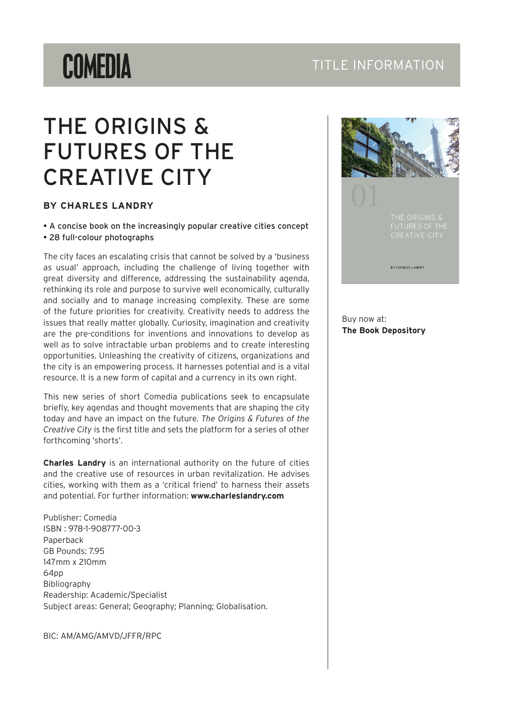# **COMEDIA**

### TITLE INFORMATION

## THE ORIGINS & FUTURES OF THE CREATIVE CITY

#### **BY CHARLES LANDRY**

• A concise book on the increasingly popular creative cities concept • 28 full-colour photographs

The city faces an escalating crisis that cannot be solved by a 'business as usual' approach, including the challenge of living together with great diversity and difference, addressing the sustainability agenda, rethinking its role and purpose to survive well economically, culturally and socially and to manage increasing complexity. These are some of the future priorities for creativity. Creativity needs to address the issues that really matter globally. Curiosity, imagination and creativity are the pre-conditions for inventions and innovations to develop as well as to solve intractable urban problems and to create interesting opportunities. Unleashing the creativity of citizens, organizations and the city is an empowering process. It harnesses potential and is a vital resource. It is a new form of capital and a currency in its own right.

This new series of short Comedia publications seek to encapsulate briefly, key agendas and thought movements that are shaping the city today and have an impact on the future. *The Origins & Futures of the Creative City* is the first title and sets the platform for a series of other forthcoming 'shorts'.

**Charles Landry** is an international authority on the future of cities and the creative use of resources in urban revitalization. He advises cities, working with them as a 'critical friend' to harness their assets and potential. For further information: **www.charleslandry.com**

Publisher: Comedia ISBN : 978-1-908777-00-3 Paperback GB Pounds: 7.95 147mm x 210mm 64pp Bibliography Readership: Academic/Specialist Subject areas: General; Geography; Planning; Globalisation.

BIC: AM/AMG/AMVD/JFFR/RPC



Buy now at: **[The Book Depository](http://www.bookdepository.co.uk/Origins-Futures-Creative-City-Charles-Landry/9781908777003)**